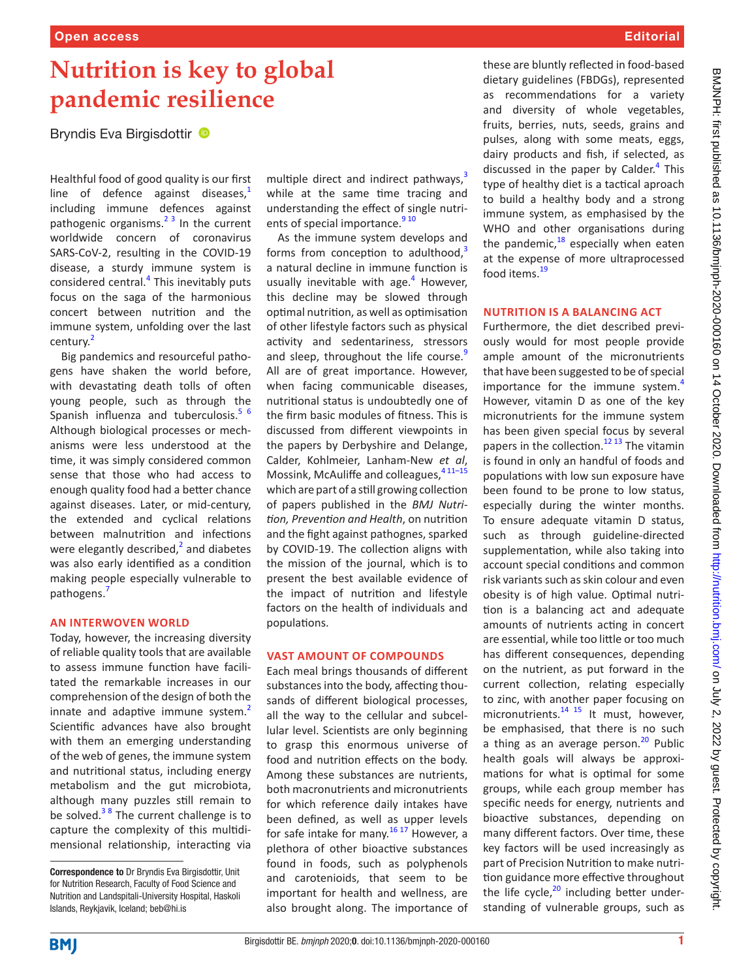# **Nutrition is key to global pandemic resilience**

Bryndis Eva Birgisdottir <sup>®</sup>

Healthful food of good quality is our first line of defence against diseases, $1$ including immune defences against pathogenic organisms. $2<sup>3</sup>$  In the current worldwide concern of coronavirus SARS-CoV-2, resulting in the COVID-19 disease, a sturdy immune system is considered central.<sup>[4](#page-3-2)</sup> This inevitably puts focus on the saga of the harmonious concert between nutrition and the immune system, unfolding over the last century.<sup>[2](#page-3-1)</sup>

Big pandemics and resourceful pathogens have shaken the world before, with devastating death tolls of often young people, such as through the Spanish influenza and tuberculosis.<sup>[5 6](#page-3-3)</sup> Although biological processes or mechanisms were less understood at the time, it was simply considered common sense that those who had access to enough quality food had a better chance against diseases. Later, or mid-century, the extended and cyclical relations between malnutrition and infections were elegantly described, $^2$  and diabetes was also early identified as a condition making people especially vulnerable to pathogens.'

#### **AN INTERWOVEN WORLD**

Today, however, the increasing diversity of reliable quality tools that are available to assess immune function have facilitated the remarkable increases in our comprehension of the design of both the innate and adaptive immune system.<sup>[2](#page-3-1)</sup> Scientific advances have also brought with them an emerging understanding of the web of genes, the immune system and nutritional status, including energy metabolism and the gut microbiota, although many puzzles still remain to be solved. $38$  The current challenge is to capture the complexity of this multidimensional relationship, interacting via

multiple direct and indirect pathways, $3$ while at the same time tracing and understanding the effect of single nutrients of special importance.<sup>910</sup>

As the immune system develops and forms from conception to adulthood, $3$ a natural decline in immune function is usually inevitable with age.<sup>[4](#page-3-2)</sup> However, this decline may be slowed through optimal nutrition, as well as optimisation of other lifestyle factors such as physical activity and sedentariness, stressors and sleep, throughout the life course.<sup>[9](#page-3-6)</sup> All are of great importance. However, when facing communicable diseases, nutritional status is undoubtedly one of the firm basic modules of fitness. This is discussed from different viewpoints in the papers by Derbyshire and Delange, Calder, Kohlmeier, Lanham-New *et al*, Mossink, McAuliffe and colleagues, 411-15 which are part of a still growing collection of papers published in the *BMJ Nutrition, Prevention and Health*, on nutrition and the fight against pathognes, sparked by COVID-19. The collection aligns with the mission of the journal, which is to present the best available evidence of the impact of nutrition and lifestyle factors on the health of individuals and populations.

### **VAST AMOUNT OF COMPOUNDS**

Each meal brings thousands of different substances into the body, affecting thousands of different biological processes, all the way to the cellular and subcellular level. Scientists are only beginning to grasp this enormous universe of food and nutrition effects on the body. Among these substances are nutrients, both macronutrients and micronutrients for which reference daily intakes have been defined, as well as upper levels for safe intake for many. $1617$  However, a plethora of other bioactive substances found in foods, such as polyphenols and carotenioids, that seem to be important for health and wellness, are also brought along. The importance of **Editorial** 

these are bluntly reflected in food-based dietary guidelines (FBDGs), represented as recommendations for a variety and diversity of whole vegetables, fruits, berries, nuts, seeds, grains and pulses, along with some meats, eggs, dairy products and fish, if selected, as discussed in the paper by Calder.<sup>4</sup> This type of healthy diet is a tactical aproach to build a healthy body and a strong immune system, as emphasised by the WHO and other organisations during the pandemic, $18$  especially when eaten at the expense of more ultraprocessed food items.<sup>[19](#page-3-9)</sup>

#### **NUTRITION IS A BALANCING ACT**

Furthermore, the diet described previously would for most people provide ample amount of the micronutrients that have been suggested to be of special importance for the immune system.<sup>[4](#page-3-2)</sup> However, vitamin D as one of the key micronutrients for the immune system has been given special focus by several papers in the collection.<sup>[12 13](#page-3-10)</sup> The vitamin is found in only an handful of foods and populations with low sun exposure have been found to be prone to low status, especially during the winter months. To ensure adequate vitamin D status, such as through guideline-directed supplementation, while also taking into account special conditions and common risk variants such as skin colour and even obesity is of high value. Optimal nutrition is a balancing act and adequate amounts of nutrients acting in concert are essential, while too little or too much has different consequences, depending on the nutrient, as put forward in the current collection, relating especially to zinc, with another paper focusing on micronutrients. $^{14}$  15 It must, however, be emphasised, that there is no such a thing as an average person. $^{20}$  $^{20}$  $^{20}$  Public health goals will always be approximations for what is optimal for some groups, while each group member has specific needs for energy, nutrients and bioactive substances, depending on many different factors. Over time, these key factors will be used increasingly as part of Precision Nutrition to make nutrition guidance more effective throughout the life cycle, $20$  including better understanding of vulnerable groups, such as



Correspondence to Dr Bryndis Eva Birgisdottir, Unit for Nutrition Research, Faculty of Food Science and Nutrition and Landspitali-University Hospital, Haskoli Islands, Reykjavik, Iceland; beb@hi.is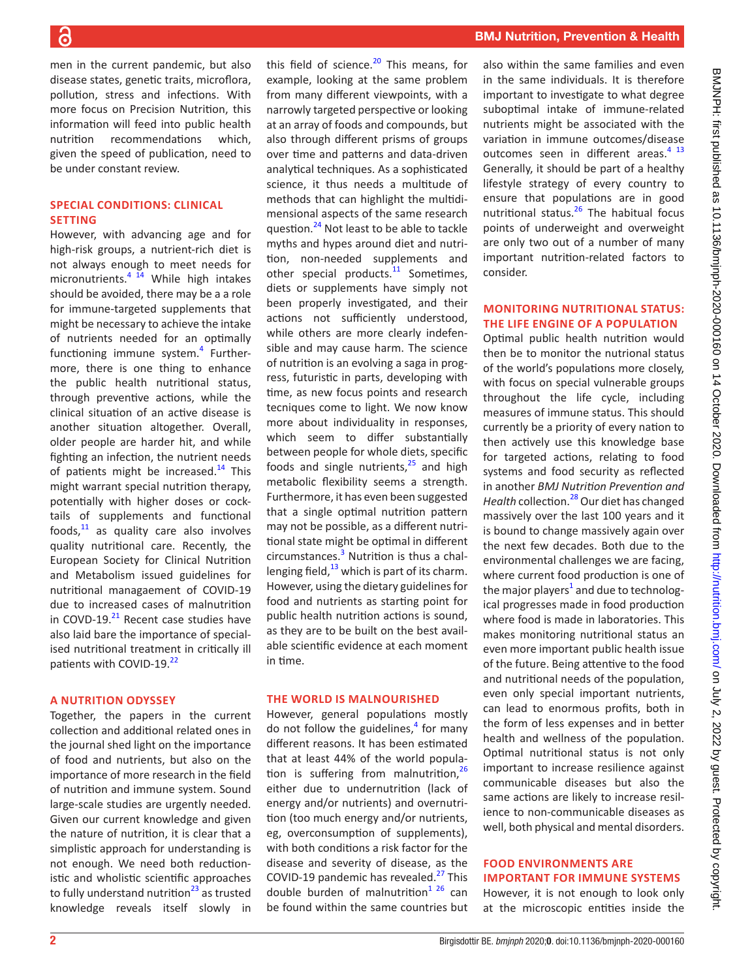men in the current pandemic, but also disease states, genetic traits, microflora, pollution, stress and infections. With more focus on Precision Nutrition, this information will feed into public health nutrition recommendations which, given the speed of publication, need to be under constant review.

# **SPECIAL CONDITIONS: CLINICAL SETTING**

However, with advancing age and for high-risk groups, a nutrient-rich diet is not always enough to meet needs for micronutrients. $4^{14}$  While high intakes should be avoided, there may be a a role for immune-targeted supplements that might be necessary to achieve the intake of nutrients needed for an optimally functioning immune system.<sup>[4](#page-3-2)</sup> Furthermore, there is one thing to enhance the public health nutritional status, through preventive actions, while the clinical situation of an active disease is another situation altogether. Overall, older people are harder hit, and while fighting an infection, the nutrient needs of patients might be increased. $^{14}$  This might warrant special nutrition therapy, potentially with higher doses or cocktails of supplements and functional foods, $11$  as quality care also involves quality nutritional care. Recently, the European Society for Clinical Nutrition and Metabolism issued guidelines for nutritional managaement of COVID-19 due to increased cases of malnutrition in COVD-19. $^{21}$  $^{21}$  $^{21}$  Recent case studies have also laid bare the importance of specialised nutritional treatment in critically ill patients with COVID-19.<sup>[22](#page-3-15)</sup>

## **A NUTRITION ODYSSEY**

Together, the papers in the current collection and additional related ones in the journal shed light on the importance of food and nutrients, but also on the importance of more research in the field of nutrition and immune system. Sound large-scale studies are urgently needed. Given our current knowledge and given the nature of nutrition, it is clear that a simplistic approach for understanding is not enough. We need both reductionistic and wholistic scientific approaches to fully understand nutrition $^{23}$  $^{23}$  $^{23}$  as trusted knowledge reveals itself slowly in this field of science. $^{20}$  $^{20}$  $^{20}$  This means, for example, looking at the same problem from many different viewpoints, with a narrowly targeted perspective or looking at an array of foods and compounds, but also through different prisms of groups over time and patterns and data-driven analytical techniques. As a sophisticated science, it thus needs a multitude of methods that can highlight the multidimensional aspects of the same research question.<sup>24</sup> Not least to be able to tackle myths and hypes around diet and nutrition, non-needed supplements and other special products.<sup>[11](#page-3-13)</sup> Sometimes, diets or supplements have simply not been properly investigated, and their actions not sufficiently understood, while others are more clearly indefensible and may cause harm. The science of nutrition is an evolving a saga in progress, futuristic in parts, developing with time, as new focus points and research tecniques come to light. We now know more about individuality in responses, which seem to differ substantially between people for whole diets, specific foods and single nutrients, $25$  and high metabolic flexibility seems a strength. Furthermore, it has even been suggested that a single optimal nutrition pattern may not be possible, as a different nutritional state might be optimal in different circumstances.<sup>[3](#page-3-5)</sup> Nutrition is thus a challenging field, $13$  which is part of its charm. However, using the dietary guidelines for food and nutrients as starting point for public health nutrition actions is sound, as they are to be built on the best available scientific evidence at each moment in time.

## **THE WORLD IS MALNOURISHED**

However, general populations mostly do not follow the guidelines, $4$  for many different reasons. It has been estimated that at least 44% of the world population is suffering from malnutrition, $^{26}$  $^{26}$  $^{26}$ either due to undernutrition (lack of energy and/or nutrients) and overnutrition (too much energy and/or nutrients, eg, overconsumption of supplements), with both conditions a risk factor for the disease and severity of disease, as the COVID-19 pandemic has revealed. $27$  This double burden of malnutrition $1^{26}$  can be found within the same countries but

BMJ Nutrition, Prevention & Health also within the same families and even in the same individuals. It is therefore important to investigate to what degree suboptimal intake of immune-related nutrients might be associated with the variation in immune outcomes/disease outcomes seen in different areas.<sup>[4 13](#page-3-2)</sup> Generally, it should be part of a healthy lifestyle strategy of every country to ensure that populations are in good nutritional status. $26$  The habitual focus points of underweight and overweight

# **MONITORING NUTRITIONAL STATUS: THE LIFE ENGINE OF A POPULATION**

are only two out of a number of many important nutrition-related factors to

consider.

Optimal public health nutrition would then be to monitor the nutrional status of the world's populations more closely, with focus on special vulnerable groups throughout the life cycle, including measures of immune status. This should currently be a priority of every nation to then actively use this knowledge base for targeted actions, relating to food systems and food security as reflected in another *BMJ Nutrition Prevention and Health* collection.<sup>[28](#page-3-22)</sup> Our diet has changed massively over the last 100 years and it is bound to change massively again over the next few decades. Both due to the environmental challenges we are facing, where current food production is one of the major players<sup>1</sup> and due to technological progresses made in food production where food is made in laboratories. This makes monitoring nutritional status an even more important public health issue of the future. Being attentive to the food and nutritional needs of the population, even only special important nutrients, can lead to enormous profits, both in the form of less expenses and in better health and wellness of the population. Optimal nutritional status is not only important to increase resilience against communicable diseases but also the same actions are likely to increase resilience to non-communicable diseases as well, both physical and mental disorders.

# **FOOD ENVIRONMENTS ARE IMPORTANT FOR IMMUNE SYSTEMS**

However, it is not enough to look only at the microscopic entities inside the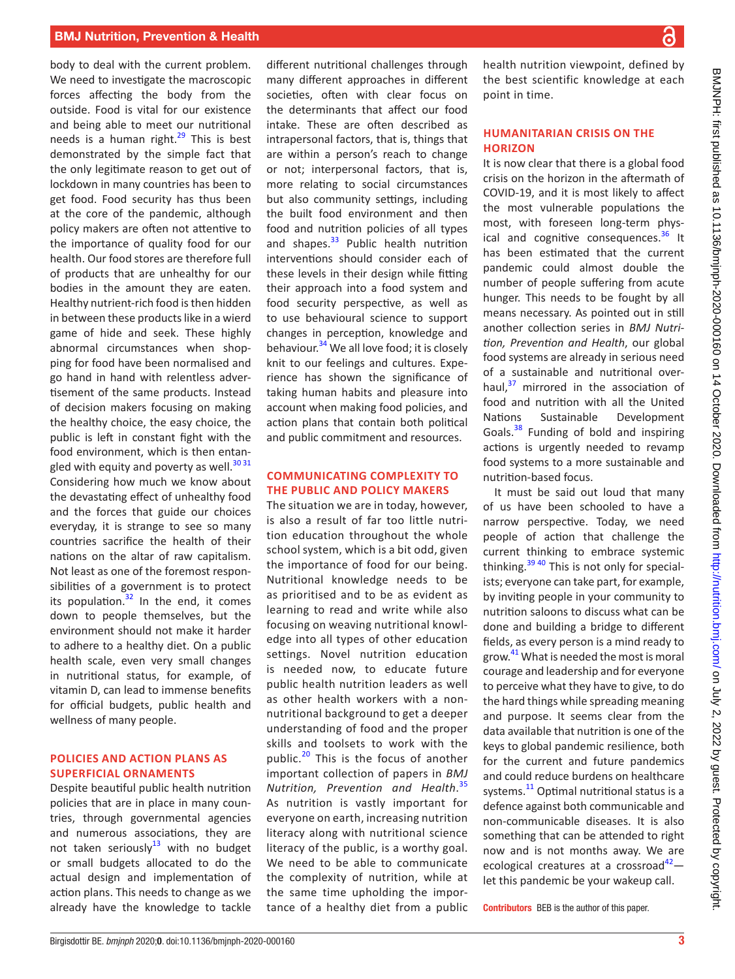# BMJ Nutrition, Prevention & Health

body to deal with the current problem. We need to investigate the macroscopic forces affecting the body from the outside. Food is vital for our existence and being able to meet our nutritional needs is a human right. $^{29}$  $^{29}$  $^{29}$  This is best demonstrated by the simple fact that the only legitimate reason to get out of lockdown in many countries has been to get food. Food security has thus been at the core of the pandemic, although policy makers are often not attentive to the importance of quality food for our health. Our food stores are therefore full of products that are unhealthy for our bodies in the amount they are eaten. Healthy nutrient-rich food is then hidden in between these products like in a wierd game of hide and seek. These highly abnormal circumstances when shopping for food have been normalised and go hand in hand with relentless advertisement of the same products. Instead of decision makers focusing on making the healthy choice, the easy choice, the public is left in constant fight with the food environment, which is then entangled with equity and poverty as well. $^{30\,31}$ Considering how much we know about the devastating effect of unhealthy food and the forces that guide our choices everyday, it is strange to see so many countries sacrifice the health of their nations on the altar of raw capitalism. Not least as one of the foremost responsibilities of a government is to protect its population. $32$  In the end, it comes down to people themselves, but the environment should not make it harder to adhere to a healthy diet. On a public health scale, even very small changes in nutritional status, for example, of vitamin D, can lead to immense benefits for official budgets, public health and wellness of many people.

# **POLICIES AND ACTION PLANS AS SUPERFICIAL ORNAMENTS**

Despite beautiful public health nutrition policies that are in place in many countries, through governmental agencies and numerous associations, they are not taken seriously $13$  with no budget or small budgets allocated to do the actual design and implementation of action plans. This needs to change as we already have the knowledge to tackle different nutritional challenges through many different approaches in different societies, often with clear focus on the determinants that affect our food intake. These are often described as intrapersonal factors, that is, things that are within a person's reach to change or not; interpersonal factors, that is, more relating to social circumstances but also community settings, including the built food environment and then food and nutrition policies of all types and shapes. $33$  Public health nutrition interventions should consider each of these levels in their design while fitting their approach into a food system and food security perspective, as well as to use behavioural science to support changes in perception, knowledge and behaviour.<sup>[34](#page-3-27)</sup> We all love food; it is closely knit to our feelings and cultures. Experience has shown the significance of taking human habits and pleasure into account when making food policies, and action plans that contain both political and public commitment and resources.

# **COMMUNICATING COMPLEXITY TO THE PUBLIC AND POLICY MAKERS**

The situation we are in today, however, is also a result of far too little nutrition education throughout the whole school system, which is a bit odd, given the importance of food for our being. Nutritional knowledge needs to be as prioritised and to be as evident as learning to read and write while also focusing on weaving nutritional knowledge into all types of other education settings. Novel nutrition education is needed now, to educate future public health nutrition leaders as well as other health workers with a nonnutritional background to get a deeper understanding of food and the proper skills and toolsets to work with the public.<sup>[20](#page-3-12)</sup> This is the focus of another important collection of papers in *BMJ Nutrition, Prevention and Health*. [35](#page-3-28) As nutrition is vastly important for everyone on earth, increasing nutrition literacy along with nutritional science literacy of the public, is a worthy goal. We need to be able to communicate the complexity of nutrition, while at the same time upholding the importance of a healthy diet from a public

health nutrition viewpoint, defined by the best scientific knowledge at each point in time.

# **HUMANITARIAN CRISIS ON THE HORIZON**

It is now clear that there is a global food crisis on the horizon in the aftermath of COVID-19, and it is most likely to affect the most vulnerable populations the most, with foreseen long-term physical and cognitive consequences. $36$  It has been estimated that the current pandemic could almost double the number of people suffering from acute hunger. This needs to be fought by all means necessary. As pointed out in still another collection series in *BMJ Nutrition, Prevention and Health*, our global food systems are already in serious need of a sustainable and nutritional overhaul, $37$  mirrored in the association of food and nutrition with all the United Nations Sustainable Development Goals. $38$  Funding of bold and inspiring actions is urgently needed to revamp food systems to a more sustainable and nutrition-based focus.

It must be said out loud that many of us have been schooled to have a narrow perspective. Today, we need people of action that challenge the current thinking to embrace systemic thinking.<sup>[39 40](#page-3-32)</sup> This is not only for specialists; everyone can take part, for example, by inviting people in your community to nutrition saloons to discuss what can be done and building a bridge to different fields, as every person is a mind ready to grow.<sup>41</sup> What is needed the most is moral courage and leadership and for everyone to perceive what they have to give, to do the hard things while spreading meaning and purpose. It seems clear from the data available that nutrition is one of the keys to global pandemic resilience, both for the current and future pandemics and could reduce burdens on healthcare systems.<sup>11</sup> Optimal nutritional status is a defence against both communicable and non-communicable diseases. It is also something that can be attended to right now and is not months away. We are ecological creatures at a crossroad $42$ let this pandemic be your wakeup call.

Contributors BEB is the author of this paper.